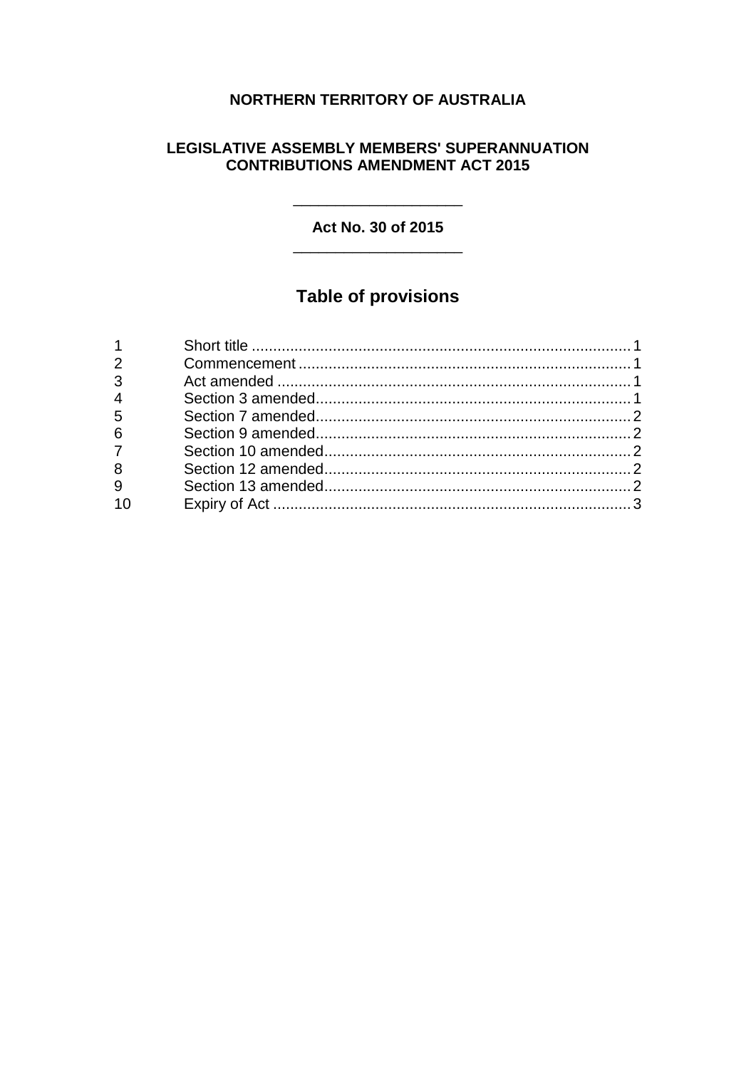## NORTHERN TERRITORY OF AUSTRALIA

### **LEGISLATIVE ASSEMBLY MEMBERS' SUPERANNUATION CONTRIBUTIONS AMENDMENT ACT 2015**

Act No. 30 of 2015

# **Table of provisions**

| $1 \quad \blacksquare$ |  |
|------------------------|--|
| $\overline{2}$         |  |
| $3^{\circ}$            |  |
|                        |  |
| $\frac{4}{5}$          |  |
| $6\overline{6}$        |  |
| 7                      |  |
| 8                      |  |
| $\overline{9}$         |  |
| 10                     |  |
|                        |  |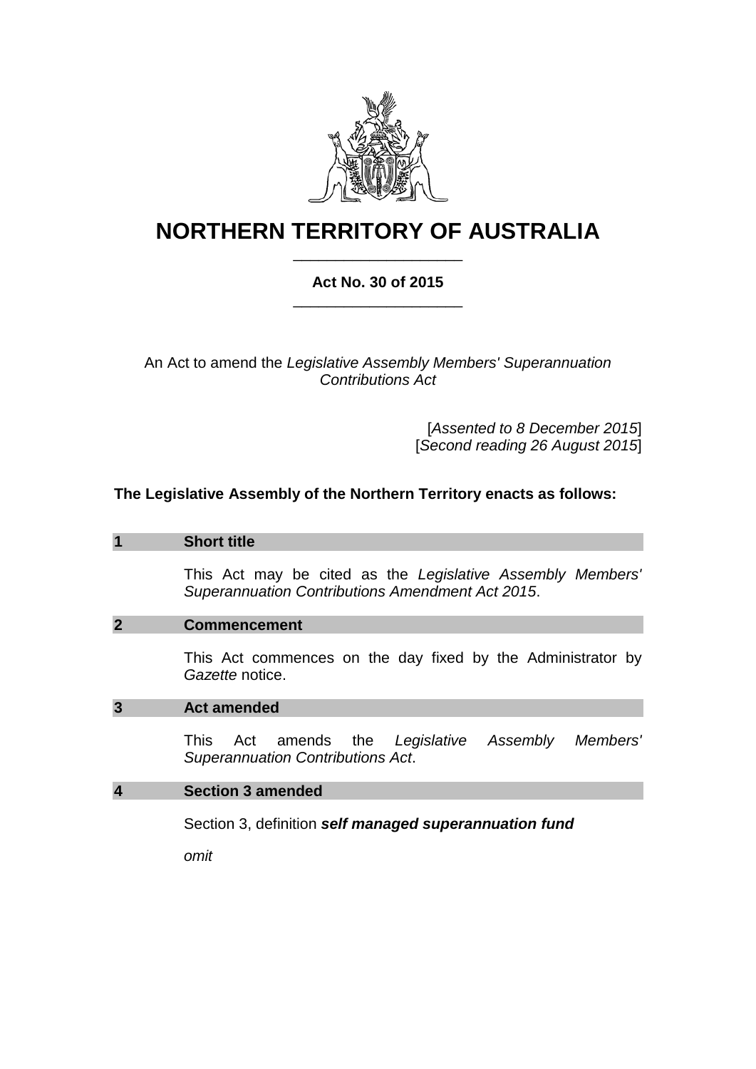

# **NORTHERN TERRITORY OF AUSTRALIA** \_\_\_\_\_\_\_\_\_\_\_\_\_\_\_\_\_\_\_\_

## **Act No. 30 of 2015** \_\_\_\_\_\_\_\_\_\_\_\_\_\_\_\_\_\_\_\_

An Act to amend the *Legislative Assembly Members' Superannuation Contributions Act*

> [*Assented to 8 December 2015*] [*Second reading 26 August 2015*]

### **The Legislative Assembly of the Northern Territory enacts as follows:**

#### **1 Short title**

This Act may be cited as the *Legislative Assembly Members' Superannuation Contributions Amendment Act 2015*.

#### **2 Commencement**

This Act commences on the day fixed by the Administrator by *Gazette* notice.

#### **3 Act amended**

This Act amends the *Legislative Assembly Members' Superannuation Contributions Act*.

#### **4 Section 3 amended**

Section 3, definition *self managed superannuation fund*

*omit*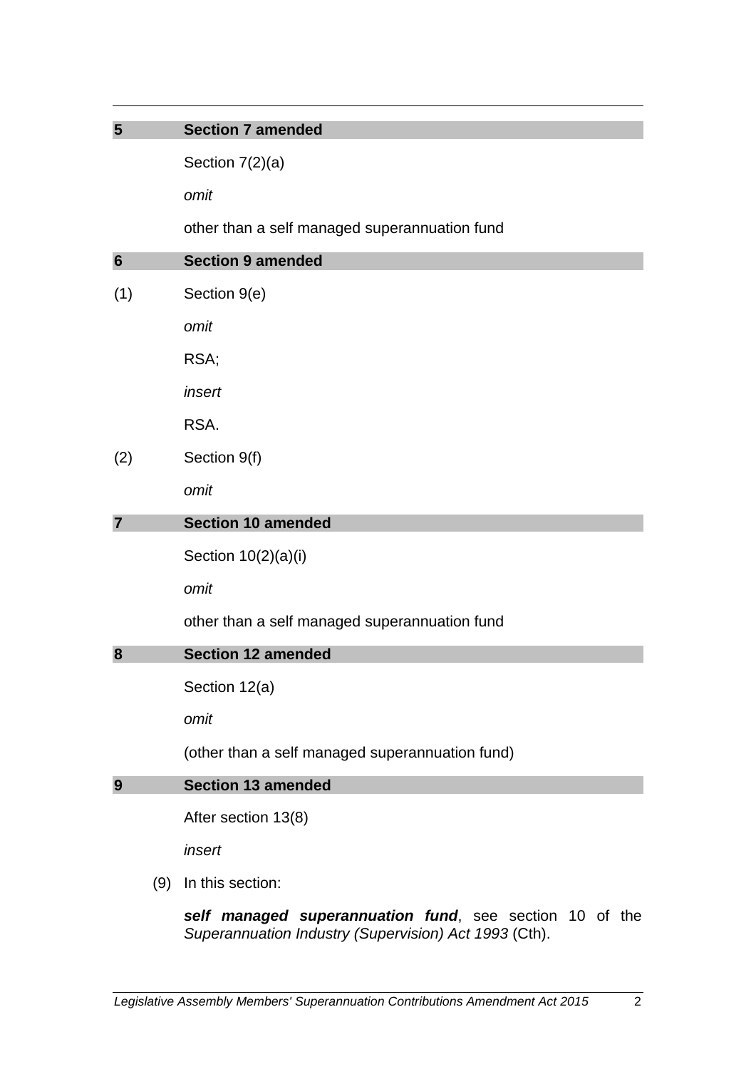## **5 Section 7 amended**

Section 7(2)(a)

*omit*

other than a self managed superannuation fund

| $6\phantom{1}6$ |     | <b>Section 9 amended</b>                               |
|-----------------|-----|--------------------------------------------------------|
| (1)             |     | Section 9(e)                                           |
|                 |     | omit                                                   |
|                 |     | RSA;                                                   |
|                 |     | insert                                                 |
|                 |     | RSA.                                                   |
| (2)             |     | Section 9(f)                                           |
|                 |     | omit                                                   |
| $\overline{7}$  |     | <b>Section 10 amended</b>                              |
|                 |     | Section 10(2)(a)(i)                                    |
|                 |     | omit                                                   |
|                 |     | other than a self managed superannuation fund          |
| 8               |     | <b>Section 12 amended</b>                              |
|                 |     | Section 12(a)                                          |
|                 |     | omit                                                   |
|                 |     | (other than a self managed superannuation fund)        |
| 9               |     | <b>Section 13 amended</b>                              |
|                 |     | After section 13(8)                                    |
|                 |     | insert                                                 |
|                 | (9) | In this section:                                       |
|                 |     | self managed superannuation fund see section 10 of the |

*self managed superannuation fund*, see section 10 of the *Superannuation Industry (Supervision) Act 1993* (Cth).